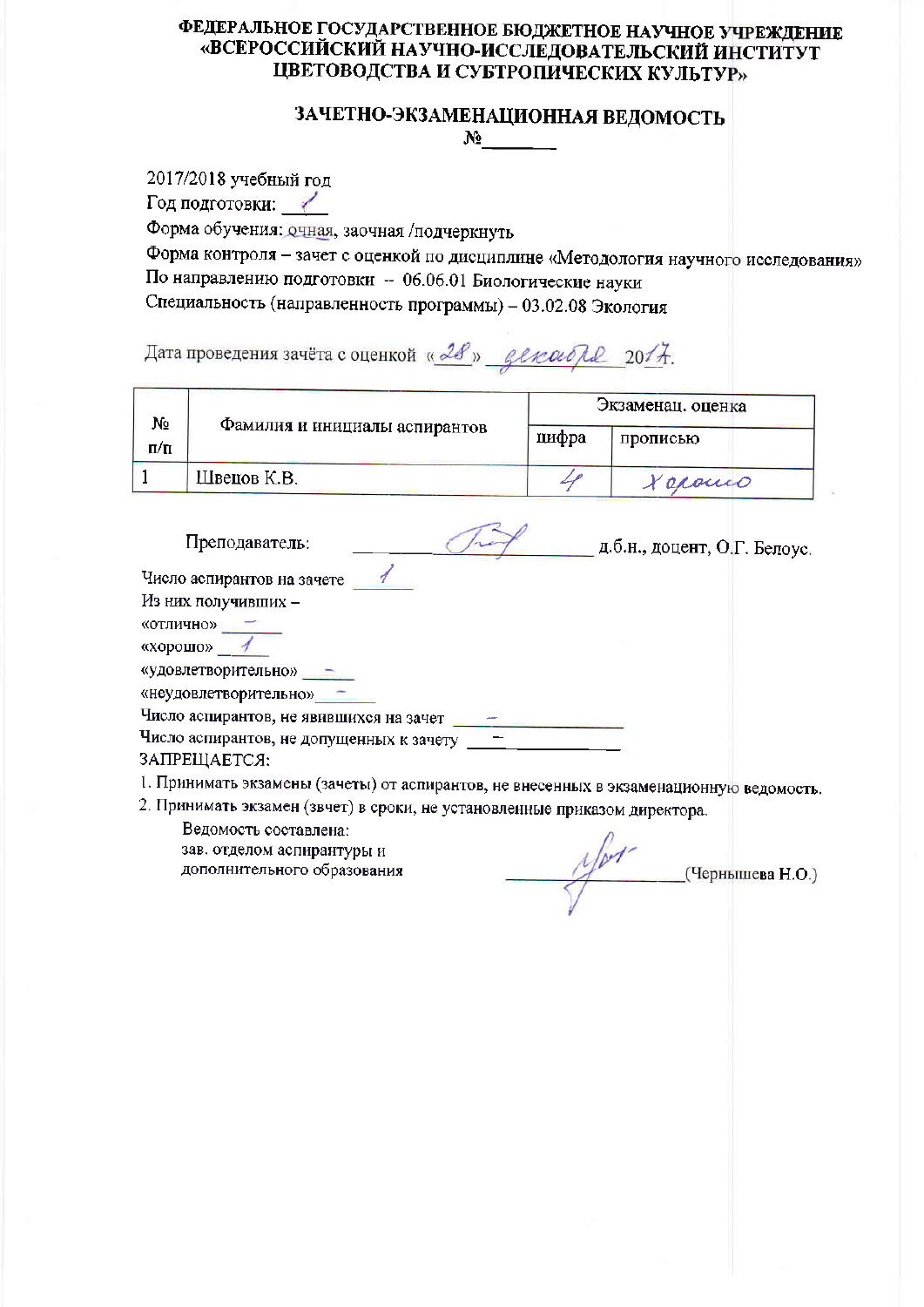# ЗАЧЕТНО-ЭКЗАМЕНАЦИОННАЯ ВЕДОМОСТЬ

 $N_2$ 

2017/2018 учебный год Год подготовки: Форма обучения: очная, заочная /подчеркнуть Форма контроля - зачет с оценкой по дисциплине «Методология научного исследования» По направлению подготовки - 06.06.01 Биологические науки Специальность (направленность программы) - 03.02.08 Экология

Дата проведения зачёта с оценкой « 28 » денембря 2017.

| N٥<br>$\Pi/\Pi$ | Фамилия и инициалы аспирантов | Экзаменац. оценка |          |  |
|-----------------|-------------------------------|-------------------|----------|--|
|                 |                               | цифра             | прописью |  |
|                 | Швецов К.В.                   |                   | Leponico |  |

| Преподаватель:                                           | д.б.н., доцент, О.Г. Белоус. |  |
|----------------------------------------------------------|------------------------------|--|
| Число аспирантов на зачете                               |                              |  |
| Из них получивших -                                      |                              |  |
| «отлично»                                                |                              |  |
| «хорошо»                                                 |                              |  |
| «удовлетворительно» =                                    |                              |  |
| «неудовлетворительно»                                    |                              |  |
| Число аспирантов, не явившихся на зачет                  |                              |  |
| Число аспирантов, не допущенных к зачету<br>ЗАПРЕЩАЕТСЯ: |                              |  |

1. Принимать экзамены (зачеты) от аспирантов, не внесенных в экзаменационную ведомость.

2. Принимать экзамен (звчет) в сроки, не установленные приказом директора.

 $\mathcal{L}$  (Чернышева Н.О.)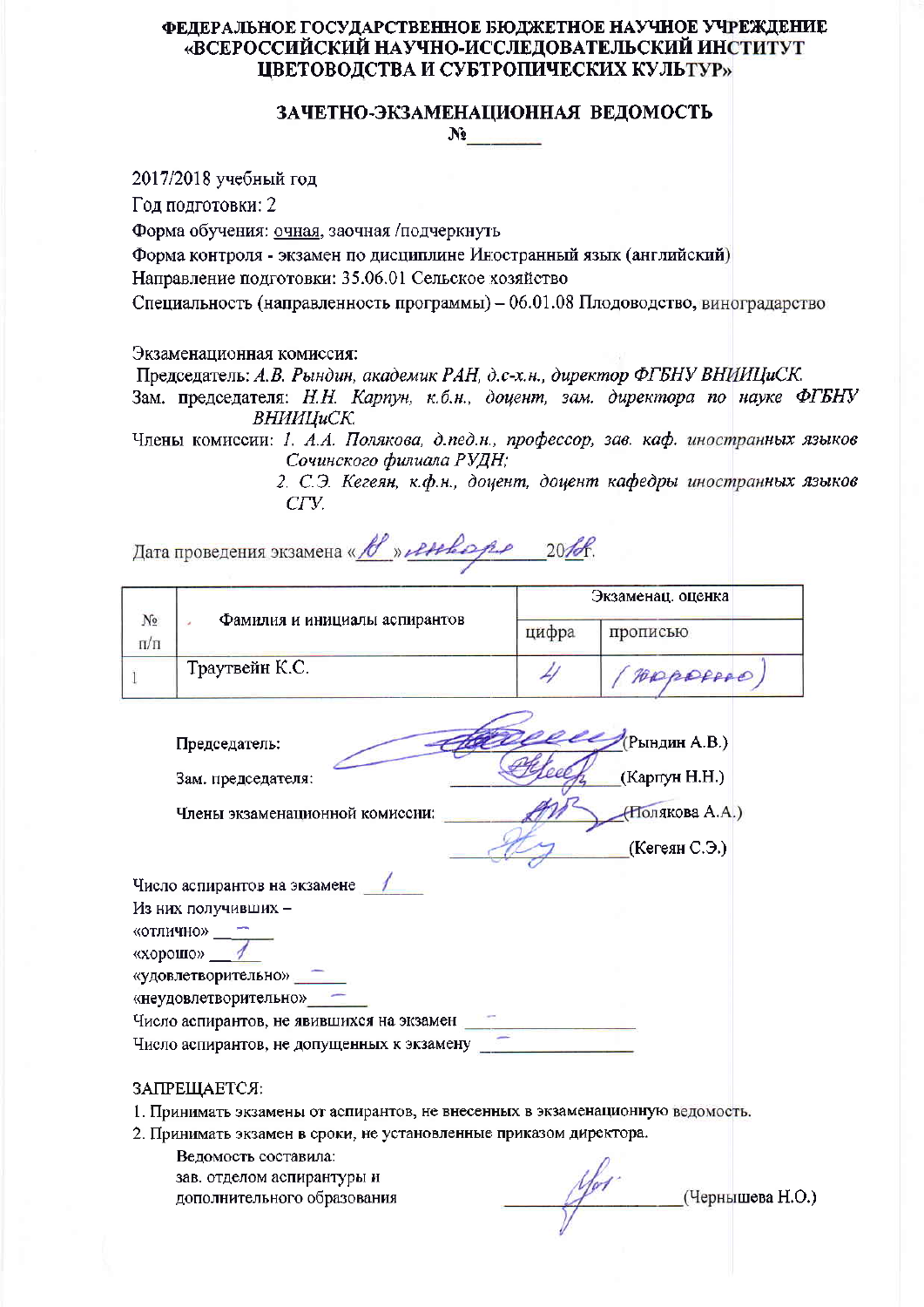## ЗАЧЕТНО-ЭКЗАМЕНАЦИОННАЯ ВЕДОМОСТЬ  $N_2$

2017/2018 учебный год

Год подготовки: 2

Форма обучения: очная, заочная /подчеркнуть

Форма контроля - экзамен по дисциплине Иностранный язык (английский)

Направление подготовки: 35.06.01 Сельское хозяйство

Специальность (направленность программы) - 06.01.08 Плодоводство, виноградарство

#### Экзаменационная комиссия:

Председатель: А.В. Рындин, академик РАН, д.с-х.н., директор ФГБНУ ВНИИЦиСК.

Зам. председателя: Н.Н. Карпун, к.б.н., доцент, зам. директора по науке ФГБНУ ВНИИПиСК.

Члены комиссии: 1. А.А. Полякова, д.пед.н., профессор, зав. каф. иностранных языков Сочинского филиала РУДН;

> 2. С.Э. Кегеян, к.ф.н., доцент, доцент кафедры иностранных языков  $CTV$

Дата проведения экзамена « В » ленее ре 20/8.

|                    | Фамилия и инициалы аспирантов |       | Экзаменац. оценка |
|--------------------|-------------------------------|-------|-------------------|
| $N_2$<br>$\Pi/\Pi$ |                               | цифра | прописью          |
|                    | Траутвейн К.С.                |       | Appopped          |

(Рындин А.В.) Председатель: (Карпун Н.Н.) Зам. председателя: **(Полякова А.А.)** Члены экзаменационной комиссии: (Кегеян С.Э.)

| Число аспирантов на экзамене               |  |
|--------------------------------------------|--|
| Из них получивших -                        |  |
| «отлично»                                  |  |
| «хорошо»                                   |  |
| «удовлетворительно»                        |  |
| «неудовлетворительно»                      |  |
| Число аспирантов, не явившихся на экзамен  |  |
| Число аспирантов, не допущенных к экзамену |  |
|                                            |  |

#### ЗАПРЕШАЕТСЯ:

- 1. Принимать экзамены от аспирантов, не внесенных в экзаменационную ведомость.
- 2. Принимать экзамен в сроки, не установленные приказом директора.
	- Ведомость составила: зав. отделом аспирантуры и дополнительного образования

(Чернышева Н.О.)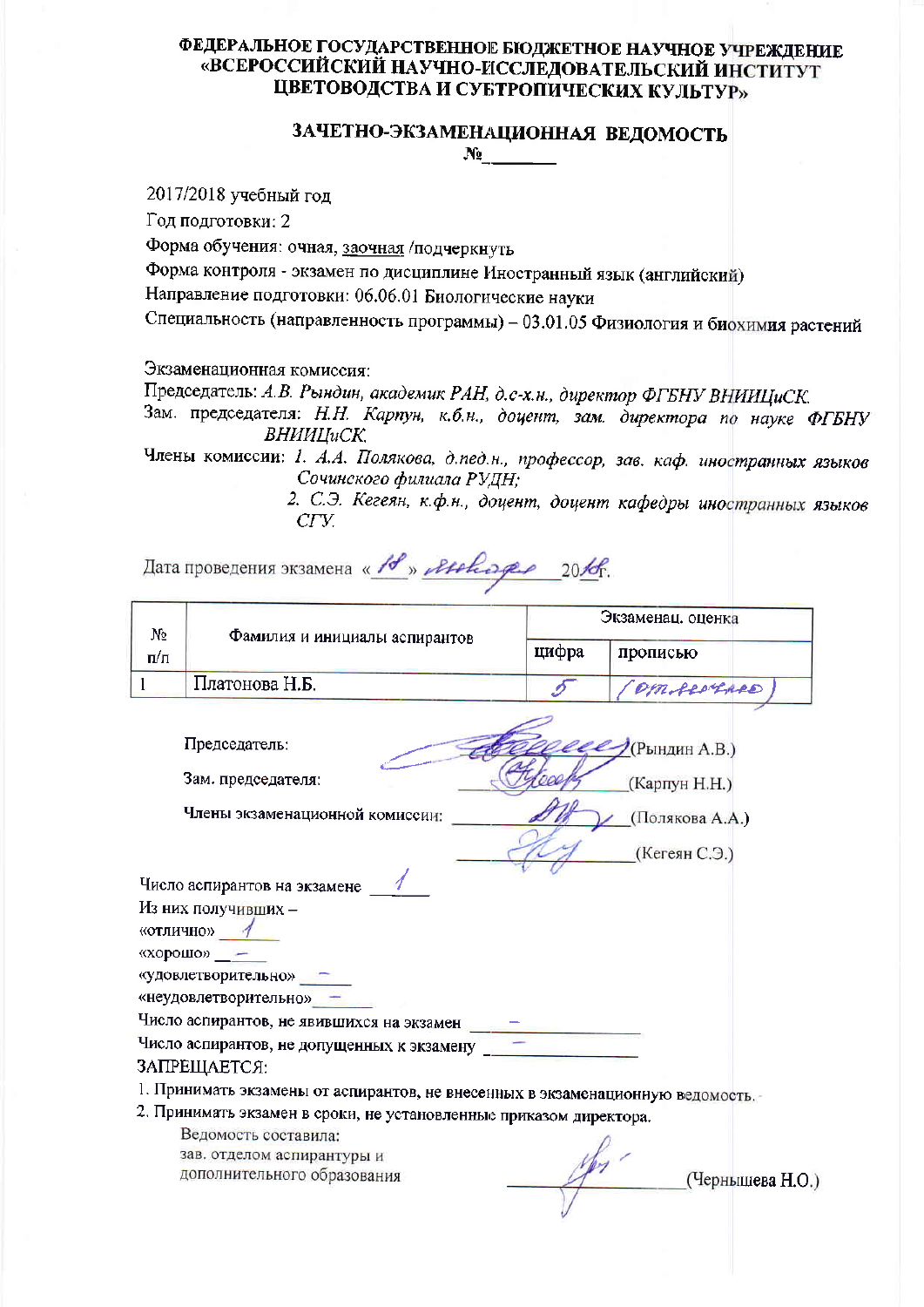#### ЗАЧЕТНО-ЭКЗАМЕНАЦИОННАЯ ВЕДОМОСТЬ  $N_2$  and  $N_3$

2017/2018 учебный год

Год подготовки: 2

Форма обучения: очная, заочная /подчеркнуть

Форма контроля - экзамен по дисциплине Иностранный язык (английский)

Направление подготовки: 06.06.01 Биологические науки

Специальность (направленность программы) - 03.01.05 Физиология и биохимия растений

Экзаменационная комиссия:

Председатель: А.В. Рындин, академик РАН, д.с-х.н., директор ФГБНУ ВНИИЦиСК.

Зам. председателя: Н.Н. Карпун, к.б.н., доцент, зам. директора по науке ФГБНУ **BHHHIIuCK** 

Члены комиссии: 1. А.А. Полякова, д.пед.н., профессор, зав. каф. иностранных языков Сочинского филиала РУДН;

2. С.Э. Кегеян, к.ф.н., доцент, доцент кафедры иностранных языков  $CTV$ 

Дата проведения экзамена « 18 » Atchape 2016.

| No  | Фамилия и инициалы аспирантов | Экзаменац. оценка |                  |  |
|-----|-------------------------------|-------------------|------------------|--|
| п/п |                               | цифра             | прописью         |  |
|     | Платонова Н.Б.                |                   | <i>DMALORALD</i> |  |

Председатель:  $\mathcal{P}$ (Рындин А.В.) Зам. председателя: (Карпун Н.Н.) Члены экзаменационной комиссии: / (Полякова А.А.) (Кегеян С.Э.) Число аспирантов на экзамене 1 Из них получивших -«отлично» 1

 $\langle x \rangle$  ( $\langle x \rangle$   $\langle x \rangle$ )  $\langle x \rangle$ 

«удовлетворительно»

«неудовлетворительно» -

Число аспирантов, не явившихся на экзамен

#### ЗАПРЕЩАЕТСЯ:

1. Принимать экзамены от аспирантов, не внесенных в экзаменационную ведомость.

2. Принимать экзамен в сроки, не установленные приказом директора.

(Чернышева Н.О.)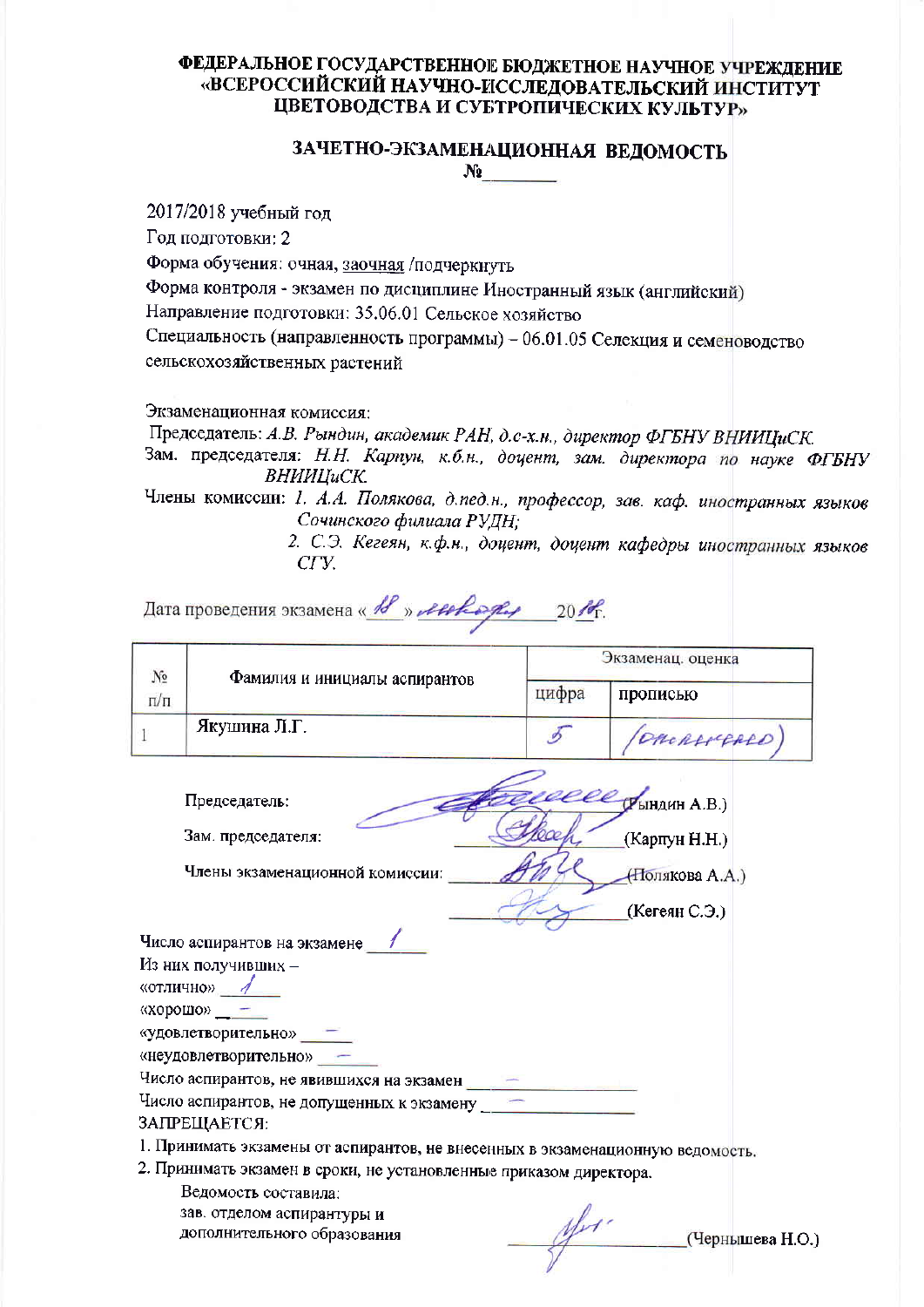# ЗАЧЕТНО-ЭКЗАМЕНАЦИОННАЯ ВЕДОМОСТЬ  $N_2$

2017/2018 учебный год

Год подготовки: 2

Форма обучения: очная, заочная /подчеркнуть

Форма контроля - экзамен по дисциплине Иностранный язык (английский)

Направление подготовки: 35.06.01 Сельское хозяйство

Специальность (направленность программы) - 06.01.05 Селекция и семеноводство сельскохозяйственных растений

Экзаменационная комиссия:

Председатель: А.В. Рындин, академик РАН, д.с-х.н., директор ФГБНУ ВНИИЦиСК.

Зам. председателя: Н.Н. Карпун, к.б.н., доцент, зам. директора по науке ФГБНУ ВНИИЦиСК.

Члены комиссии: 1. А.А. Полякова, д.пед.н., профессор, зав. каф. иностранных языков Сочинского филиала РУДН:

2. С.Э. Кегеян, к.ф.н., доцент, доцент кафедры иностранных языков CFV.

Дата проведения экзамена « В » летеря, 2016

| No  | Фамилия и инициалы аспирантов | Экзаменац. оценка |              |  |
|-----|-------------------------------|-------------------|--------------|--|
| п/п |                               | цифра             | прописью     |  |
|     | Якушина Л.Г.                  |                   | (OMCRANGARD) |  |

**CEL CHEATHER A.B.)** Председатель: Зам. председателя: (Карпун Н.Н.) (Полякова А.А.)

Члены экзаменационной комиссии:

Число аспирантов на экзамене Из них получивших -

«отлично» 1

«хорошо»  $-$ 

«удовлетворительно»

«неудовлетворительно» -

Число аспирантов, не явившихся на экзамен

Число аспирантов, не допущенных к экзамену

# ЗАПРЕЩАЕТСЯ:

1. Принимать экзамены от аспирантов, не внесенных в экзаменационную ведомость.

2. Принимать экзамен в сроки, не установленные приказом директора.

Ведомость составила: зав. отделом аспирантуры и дополнительного образования

afri-(Чернышева Н.О.)

(Кегеян С.Э.)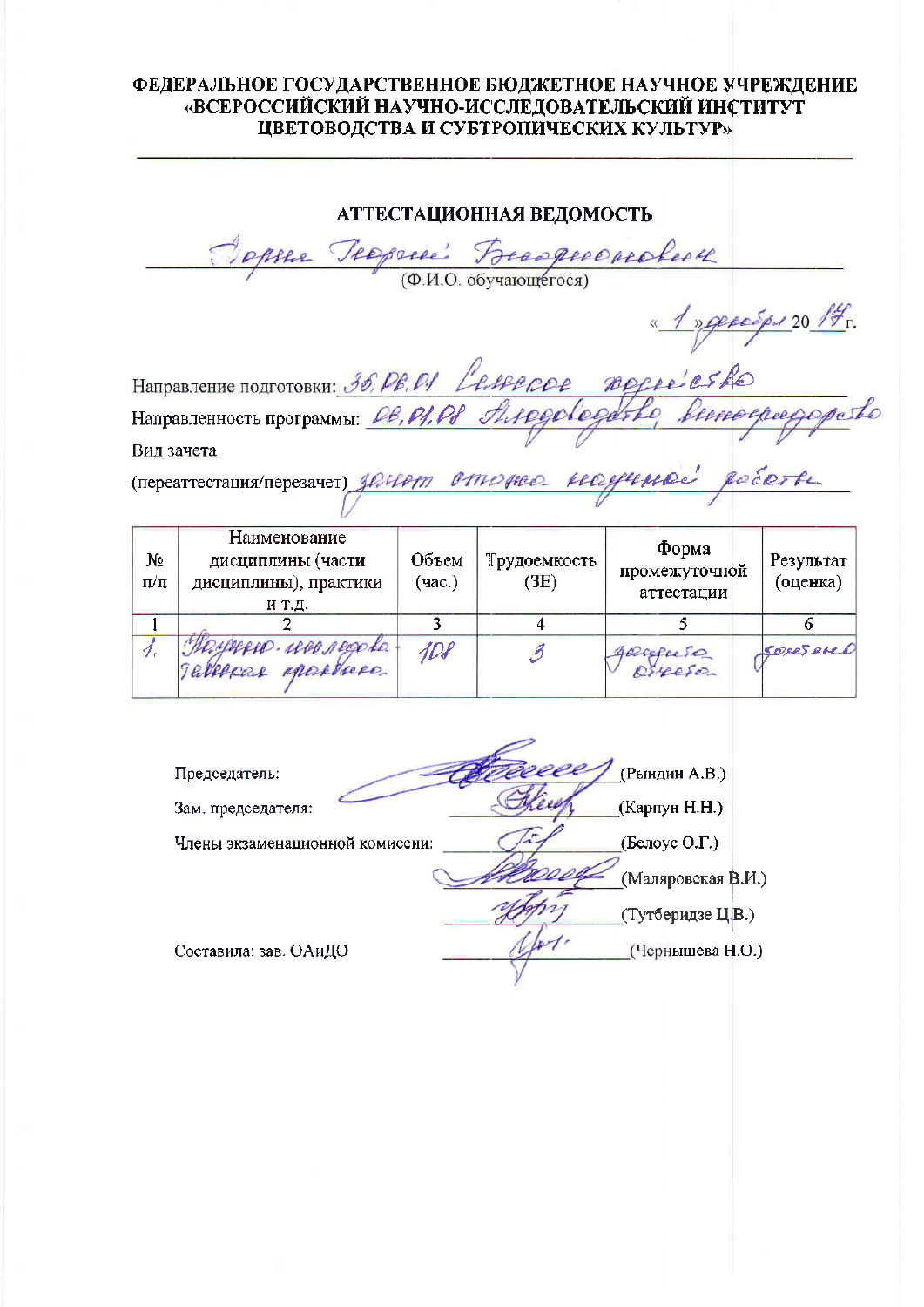АТТЕСТАЦИОННАЯ ВЕДОМОСТЬ Frasperoprobes 4 (Ф.И.О. обучающегося) <u>« 1 » genespu 20 17</u> r. Направление подготовки: 36, PB, P1 Leffecoe Regree es Ro threedeen Направленность программы: 06, 01, 08 chees Вид зачета Tenegrocratival repeation all comments and chef ellerno.  $\mathscr{D}_{\Omega}$   $\mathscr{S}_{\Omega}$ 

| $(11$ ереаттестация/перезачет) <i>значить с тителие - послу при</i> |  |  | the property of the property of the property |
|---------------------------------------------------------------------|--|--|----------------------------------------------|
|                                                                     |  |  |                                              |
|                                                                     |  |  |                                              |

| N₫<br>n/n | Наименование<br>дисциплины (части<br>дисциплины), практики<br>И Т.Д. | Объем<br>(час.) | Трудоемкость<br>(3E) | Форма<br>промежуточной<br>аттестации | Результат<br>(оценка) |
|-----------|----------------------------------------------------------------------|-----------------|----------------------|--------------------------------------|-----------------------|
|           |                                                                      |                 |                      |                                      |                       |
|           | Haynesse uno regate.<br>TERRACER MACAdreco                           | 4D8             |                      | gerefuse                             | SORESPARD             |

(Рындин А.В.) Председатель: (Карпун Н.Н.) Зам. председателя: (Белоус О.Г.) Члены экзаменационной комиссии: (Маляровская В.И.) (Тутберидзе ЦВ.) Составила: зав. ОАиДО (Чернышева Н.О.)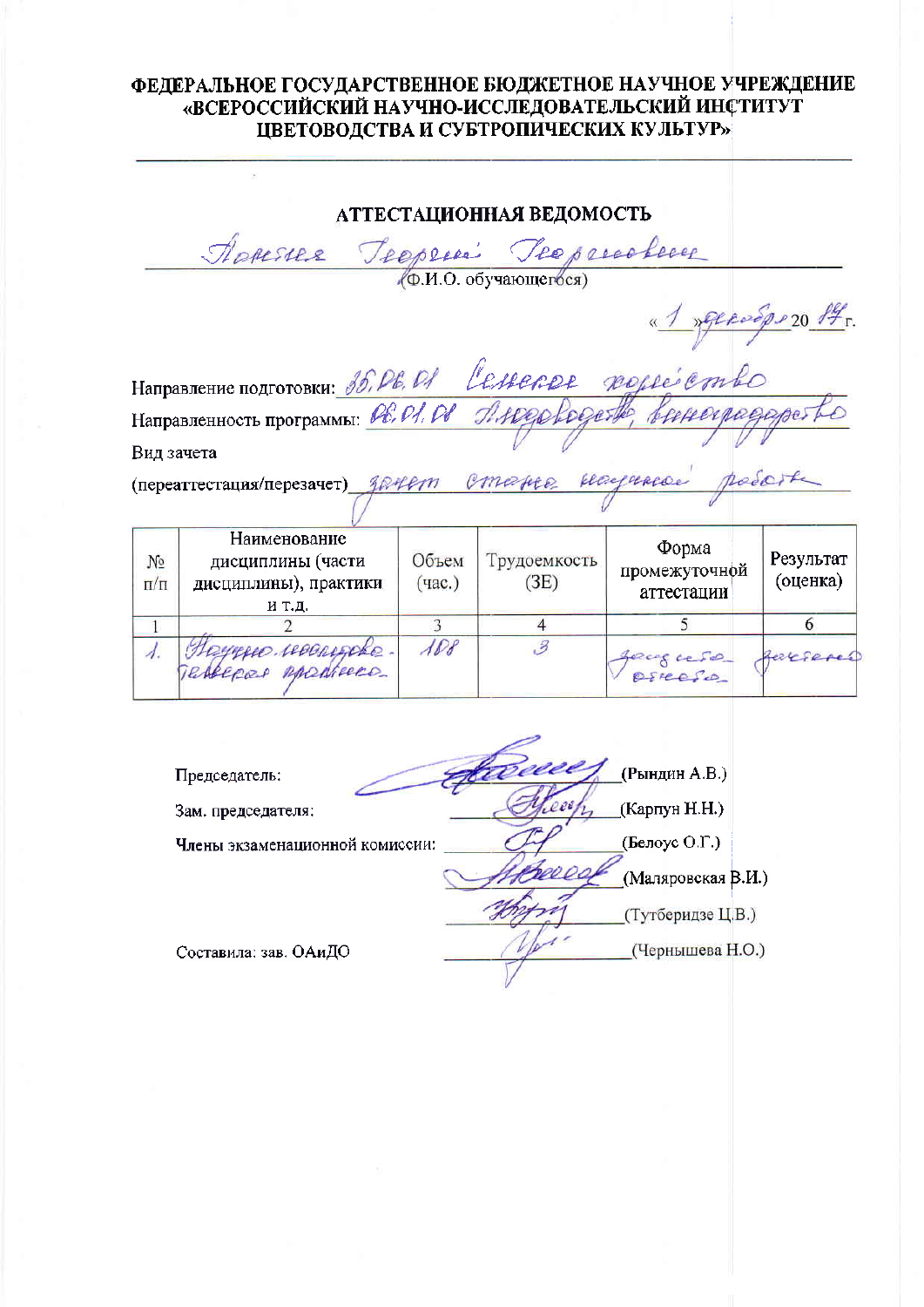АТТЕСТАЦИОННАЯ ВЕДОМОСТЬ Teeproacheeer Apressee Teeppess (Ф.И.О. обучающегося) <u>« 1 parcoops 20 ft.</u> Cessarer posseiembe Направление подготовки: 35, Р.Е. РА Направленность программы: Ов. ОЛ. Ов THRESHOPER Вид зачета playmence emergee (переаттестация/перезачет) *{D+Lern* Наименование Форма Результат дисциплины (части Объем Трудоемкость  $N_2$ промежуточной (оценка) дисциплины), практики  $(4ac.)$  $(3E)$  $\Pi/\Pi$ аттестации и т.д.  $\overline{3}$ 6  $\overline{4}$  $\overline{1}$  $\overline{2}$ Hoyesee reconside.  $\mathcal{A}\mathcal{D}\mathcal{B}$  $\overline{\mathcal{Z}}$  $\lambda$ . Zerefered exces cesso TRAPPERR MORTERE OSICOSO Sta (Рындин А.В.) Председатель: (Карпун Н.Н.) Зам. председателя: (Белоус О.Г.) Члены экзаменационной комиссии:

Составила: зав. ОАиДО

(Чернышева Н.О.)

(Маляровская В.И.)

(Тутберидзе Ц.В.)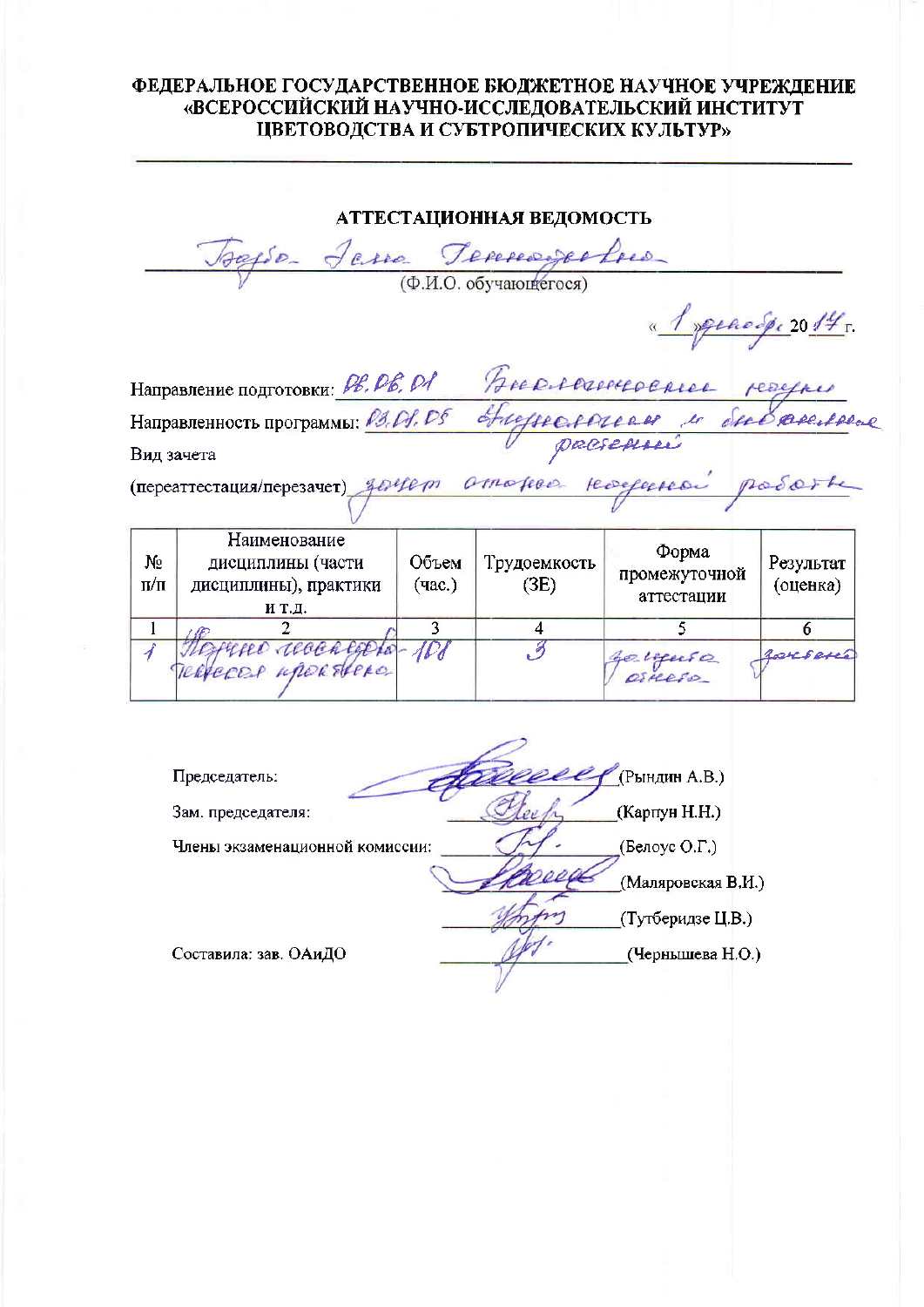АТТЕСТАЦИОННАЯ ВЕДОМОСТЬ Tereseages fred  $(\Phi, M, O, o6$  valor record peroope 2014 r. Направление подготовки: РЕ. РЕ. РА Guericanoen Направленность программы: 03, 04, 05 Вид зачета (переаттестация/перезачет) Hereferred zoyem  $200$ Наименование Форма N<sub>2</sub> Объем Трудоемкость диециплины (части Результат промежуточной  $\Pi/\Pi$ дисциплины), практики (час.)  $(3E)$ (оценка) аттестации и т.д.  $\overline{5}$  $\mathbf{1}$ 3 4  $6 \overline{6}$ receo reachesors ADI . 3 イ e neuse orserí TERVERED MARK EVERO Председатель: (Рындин А.В.) Зам. председателя: (Карпун Н.Н.) Члены экзаменационной комиссии: (Белоус О.Г.) (Маляровская В.И.) (Тутберидзе Ц.В.)

(Чернышева Н.О.)

Составила: зав. ОАиДО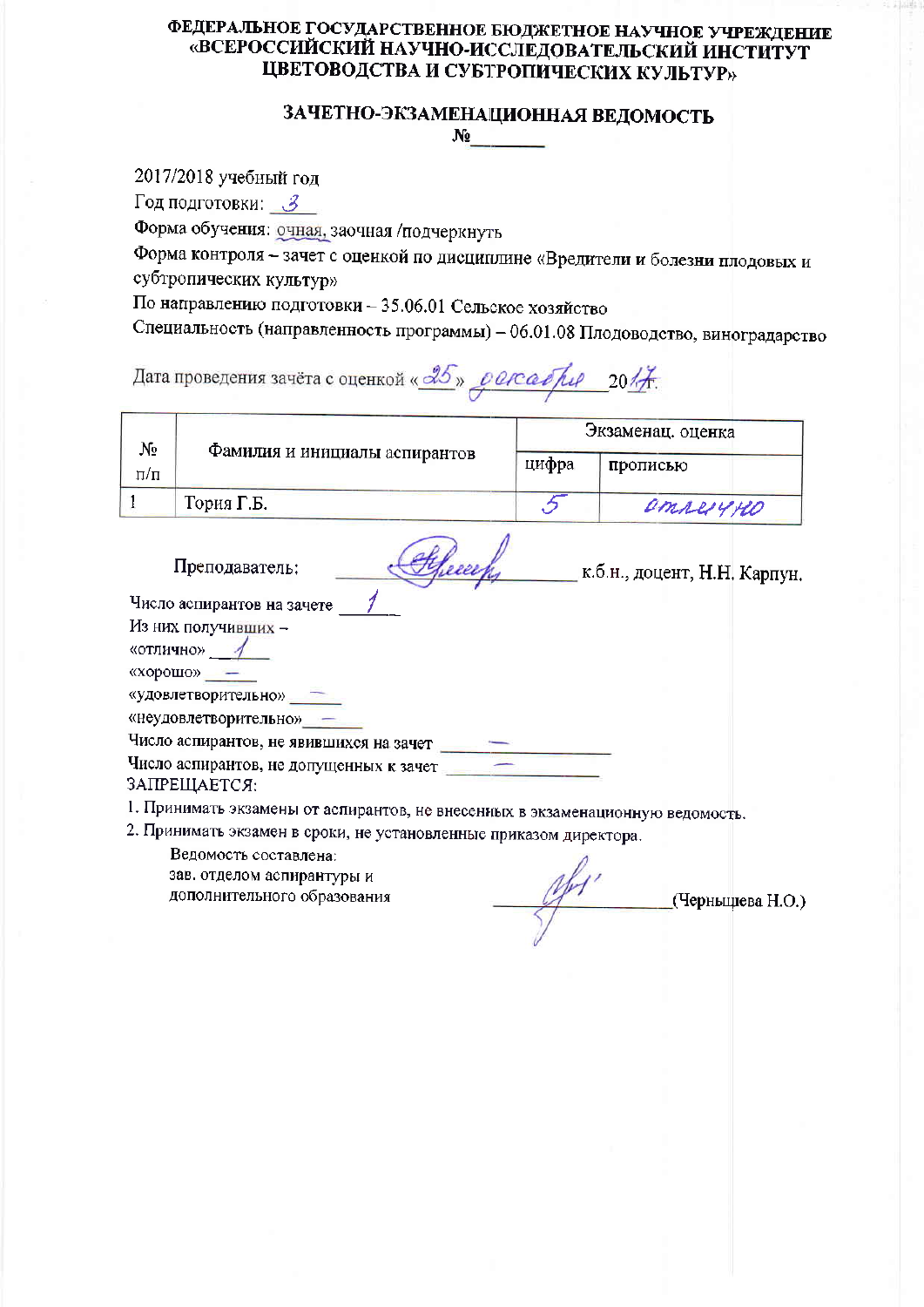## ЗАЧЕТНО-ЭКЗАМЕНАЦИОННАЯ ВЕДОМОСТЬ  $N_2$  and  $N_3$

2017/2018 учебный год

Год подготовки: З

Форма обучения: очная, заочная /подчеркнуть

Форма контроля - зачет с оценкой по дисциплине «Вредители и болезни плодовых и субтропических культур»

По направлению подготовки - 35.06.01 Сельское хозяйство

Специальность (направленность программы) - 06.01.08 Плодоводство, виноградарство

# Дата проведения зачёта с оценкой « 25 » с осабри 20/7.

| No  |                               | Экзаменац. оценка |          |
|-----|-------------------------------|-------------------|----------|
| П/П | Фамилия и инициалы аспирантов | цифра             | прописью |
|     | Тория Г.Б.                    |                   | emperyne |

Obliceer K.O.H., AOUEHT, H.H. Kapriyh. Преподаватель:

Число аспирантов на зачете

Из них получивших -

«отлично» 1

«хорошо» —

«удовлетворительно» -

«неудовлетворительно» -

Число аспирантов, не явившихся на зачет

Число аспирантов, не допущенных к зачет

ЗАПРЕШАЕТСЯ:

1. Принимать экзамены от аспирантов, не внесенных в экзаменационную ведомость.

2. Принимать экзамен в сроки, не установленные приказом директора.

Ведомость составлена:

зав. отделом аспирантуры и дополнительного образования

 $\frac{df'}{df'}$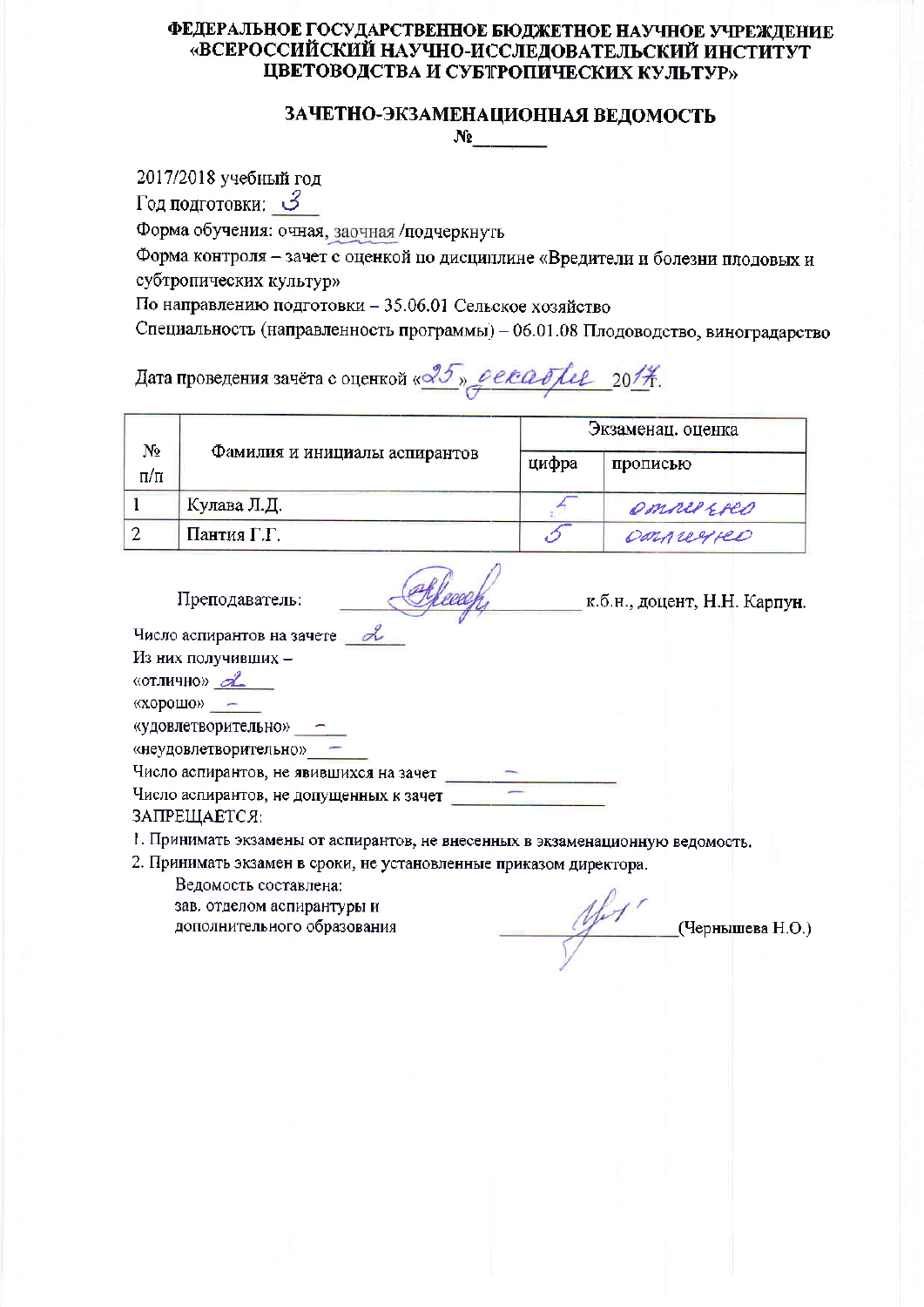#### ЗАЧЕТНО-ЭКЗАМЕНАЦИОННАЯ ВЕДОМОСТЬ  $N_2$  and  $N_3$

2017/2018 учебный год

Год подготовки: З

Форма обучения: очная, заочная /подчеркнуть

Форма контроля - зачет с оценкой по дисциплине «Вредители и болезни плодовых и субтропических культур»

По направлению подготовки - 35.06.01 Сельское хозяйство

Специальность (направленность программы) - 06.01.08 Плодоводство, виноградарство

Дата проведения зачёта с оценкой «<sup>25</sup>» *рекабри 2014*.

|                 | Фамилия и инициалы аспирантов | Экзаменац. оценка |            |  |
|-----------------|-------------------------------|-------------------|------------|--|
| N2<br>$\Pi/\Pi$ |                               | цифра             | прописью   |  |
|                 | Кулава Л.Д.                   |                   | emper Ereo |  |
|                 | Пантия Г.Г.                   |                   | Donnuyeo   |  |

Преподаватель:

Chleesefy K.O.H., доцент, Н.Н. Карпун.

Число аспирантов на зачете 2

Из них получивших -

«отлично» $\mathcal{A}$ 

«хорошо» -

«удовлетворительно» -

«неудовлетворительно» -

Число аспирантов, не явившихся на зачет \_\_\_\_\_\_

Число аспирантов, не допущенных к зачет

ЗАПРЕЩАЕТСЯ:

1. Принимать экзамены от аспирантов, не внесенных в экзаменационную ведомость.

2. Принимать экзамен в сроки, не установленные приказом директора.

 $\mathscr{W}$  (Чернышева Н.О.)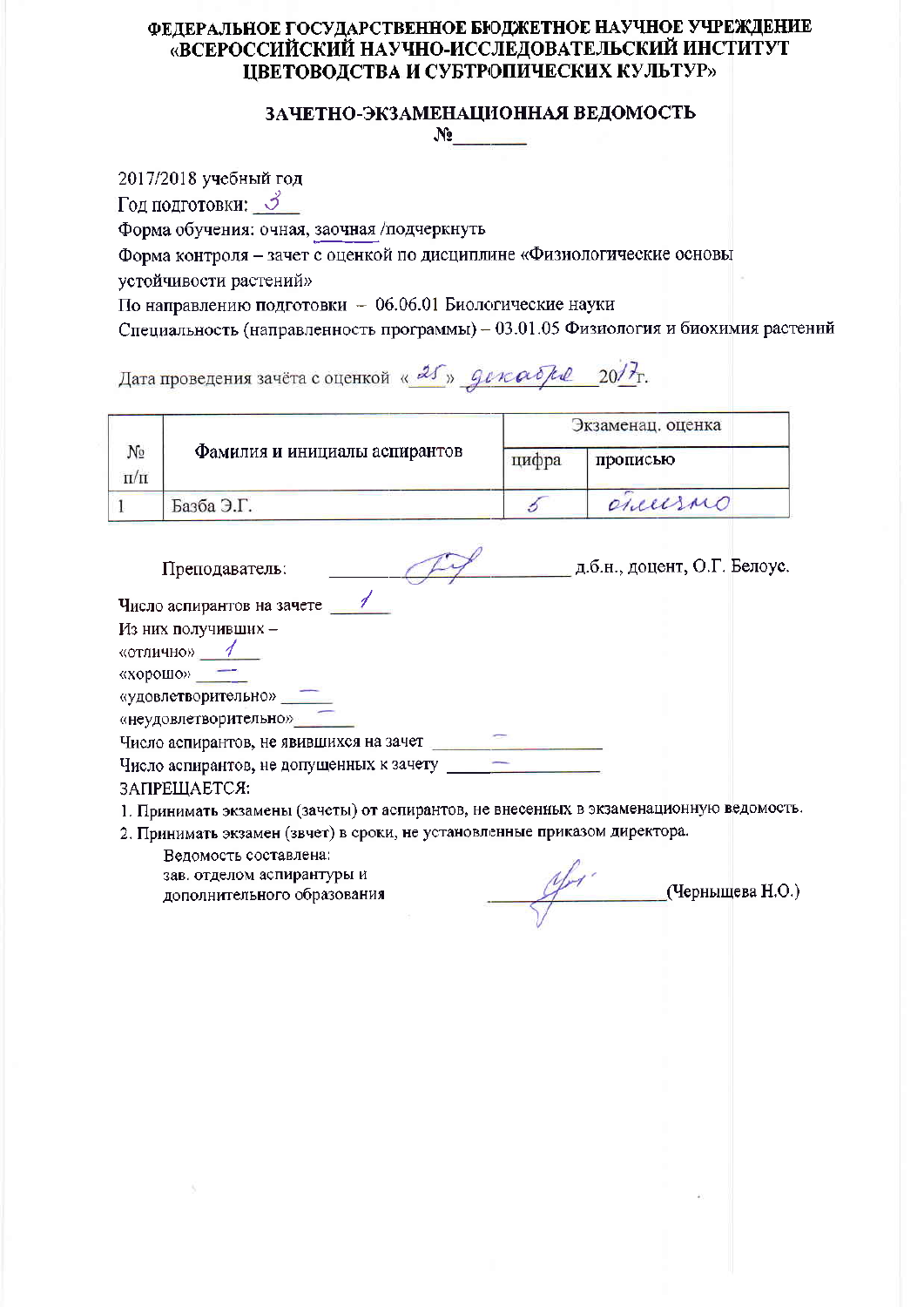# ЗАЧЕТНО-ЭКЗАМЕНАЦИОННАЯ ВЕДОМОСТЬ  $N_2$

2017/2018 учебный год Год подготовки: 3 Форма обучения: очная, заочная /подчеркнуть Форма контроля - зачет с оценкой по дисциплине «Физиологические основы устойчивости растений» По направлению подготовки - 06.06.01 Биологические науки Специальность (направленность программы) - 03.01.05 Физиология и биохимия растений

Дата проведения зачёта с оценкой « 25 » декабря 20/7.

|                 |                               | Экзаменац. оценка |          |
|-----------------|-------------------------------|-------------------|----------|
| No<br>$\Pi/\Pi$ | Фамилия и инициалы аспирантов | цифра             | прописью |
|                 | Базба Э.Г.                    |                   | ancesno  |

| Преподаватель:                           | д.б.н., доцент, О.Г. Белоус. |
|------------------------------------------|------------------------------|
| Число аспирантов на зачете               |                              |
| Из них получивших -                      |                              |
| «отлично»                                |                              |
| «хорошо»                                 |                              |
| «удовлетворительно»                      |                              |
| «неудовлетворительно»                    |                              |
| Число аспирантов, не явившихся на зачет  |                              |
| Число аспирантов, не допущенных к зачету |                              |
| ЗАПРЕЩАЕТСЯ:                             |                              |

1. Принимать экзамены (зачеты) от аспирантов, не внесенных в экзаменационную ведомость.

2. Принимать экзамен (звчет) в сроки, не установленные приказом директора.

 $\mathcal{U}_{\mathcal{M}}$  (Чернышева Н.О.)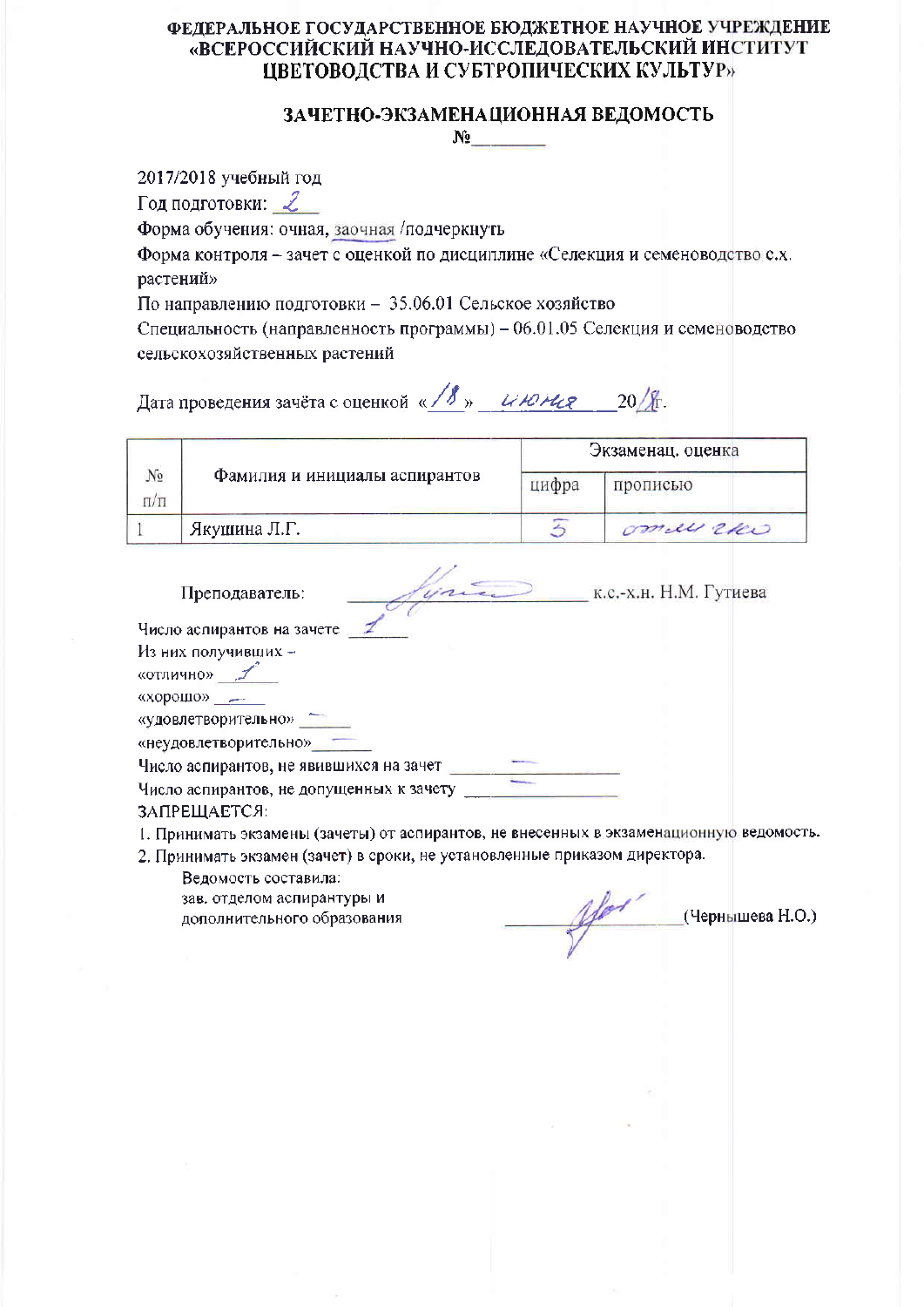#### ЗАЧЕТНО-ЭКЗАМЕНАЦИОННАЯ ВЕДОМОСТЬ  $\mathbf{N}_2$  and  $\mathbf{N}_3$  and  $\mathbf{N}_4$  and  $\mathbf{N}_5$  and  $\mathbf{N}_6$  and  $\mathbf{N}_7$  and  $\mathbf{N}_8$  and  $\mathbf{N}_7$  and  $\mathbf{N}_8$  and  $\mathbf{N}_9$  and  $\mathbf{N}_9$  and  $\mathbf{N}_9$  and  $\mathbf{N}_9$  and  $\mathbf{N}_9$  and  $\mathbf{N}_9$  and  $\mathbf{N}_9$  a

2017/2018 учебный год

Год подготовки:  $2$ 

Форма обучения: очная, заочная /подчеркнуть

Форма контроля - зачет с оценкой по дисциплине «Селекция и семеноводство с.х. растений»

По направлению подготовки - 35.06.01 Сельское хозяйство

Специальность (направленность программы) - 06.01.05 Селекция и семеноводство сельскохозяйственных растений

Дата проведения зачёта с оценкой « / 8 » институт 20/ 8.

|                 |                               | Экзаменац. оценка |            |
|-----------------|-------------------------------|-------------------|------------|
| Nρ<br>$\Pi/\Pi$ | Фамилия и инициалы аспирантов | цифра             | прописью   |
|                 | Якушина Л.Г.                  |                   | ommen reco |

| Преподаватель:                                               | к.с.-х.н. Н.М. Гутиева |
|--------------------------------------------------------------|------------------------|
| Число аспирантов на зачете                                   |                        |
|                                                              |                        |
| Из них получивших -                                          |                        |
| «отлично»                                                    |                        |
| «хорошо»                                                     |                        |
| «удовлетворительно»                                          |                        |
| «неудовлетворительно»                                        |                        |
| Число аспирантов, не явившихся на зачет                      |                        |
| Число аспирантов, не допущенных к зачету<br>. . <del>.</del> |                        |

ЗАПРЕЩАЕТСЯ:

1. Принимать экзамены (зачеты) от аспирантов, не внесенных в экзаменационную ведомость.

2. Принимать экзамен (зачет) в сроки, не установленные приказом директора.

Ведомость составила:

зав, отделом аспирантуры и дополнительного образования

(Чернышева Н.О.)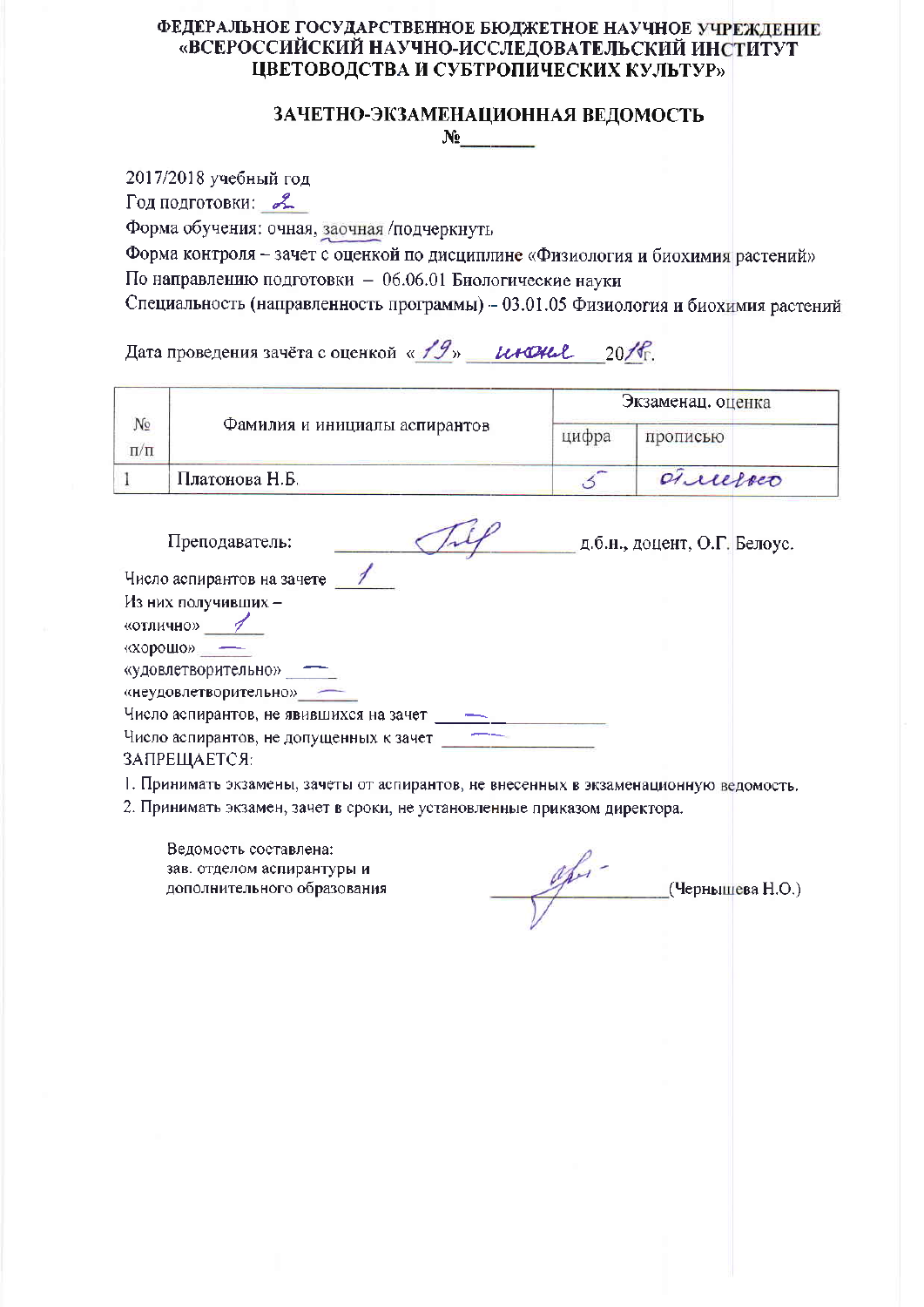#### ЗАЧЕТНО-ЭКЗАМЕНАЦИОННАЯ ВЕДОМОСТЬ  $N_2$

2017/2018 учебный год

Год подготовки: 2

Форма обучения: очная, заочная /подчеркнуть

Форма контроля - зачет с оценкой по дисциплине «Физиология и биохимия растений» По направлению подготовки - 06.06.01 Биологические науки

Специальность (направленность программы) - 03.01.05 Физиология и биохимия растений

Дата проведения зачёта с оценкой « 19» инона 2016.

|           |                               | Экзаменац. оценка |           |
|-----------|-------------------------------|-------------------|-----------|
| No<br>п/п | Фамилия и инициалы аспирантов | цифра             | прописью  |
|           | Платонова Н.Б.                |                   | successio |

| Преподаватель:                          | д.б.н., доцент, О.Г. Белоус. |  |
|-----------------------------------------|------------------------------|--|
| Число аспирантов на зачете              |                              |  |
| Из них получивших -                     |                              |  |
| «отлично»                               |                              |  |
| «хорошо»                                |                              |  |
| «удовлетворительно»                     |                              |  |
| «неудовлетворительно»                   |                              |  |
| Число аспирантов, не явившихся на зачет |                              |  |
| Число аспирантов, не допущенных к зачет |                              |  |
| ЗАПРЕЩАЕТСЯ:                            |                              |  |

1. Принимать экзамены, зачеты от аспирантов, не внесенных в экзаменационную ведомость.

2. Принимать экзамен, зачет в сроки, не установленные приказом директора.

 $\frac{gh}{1}$  (Чернышева Н.О.)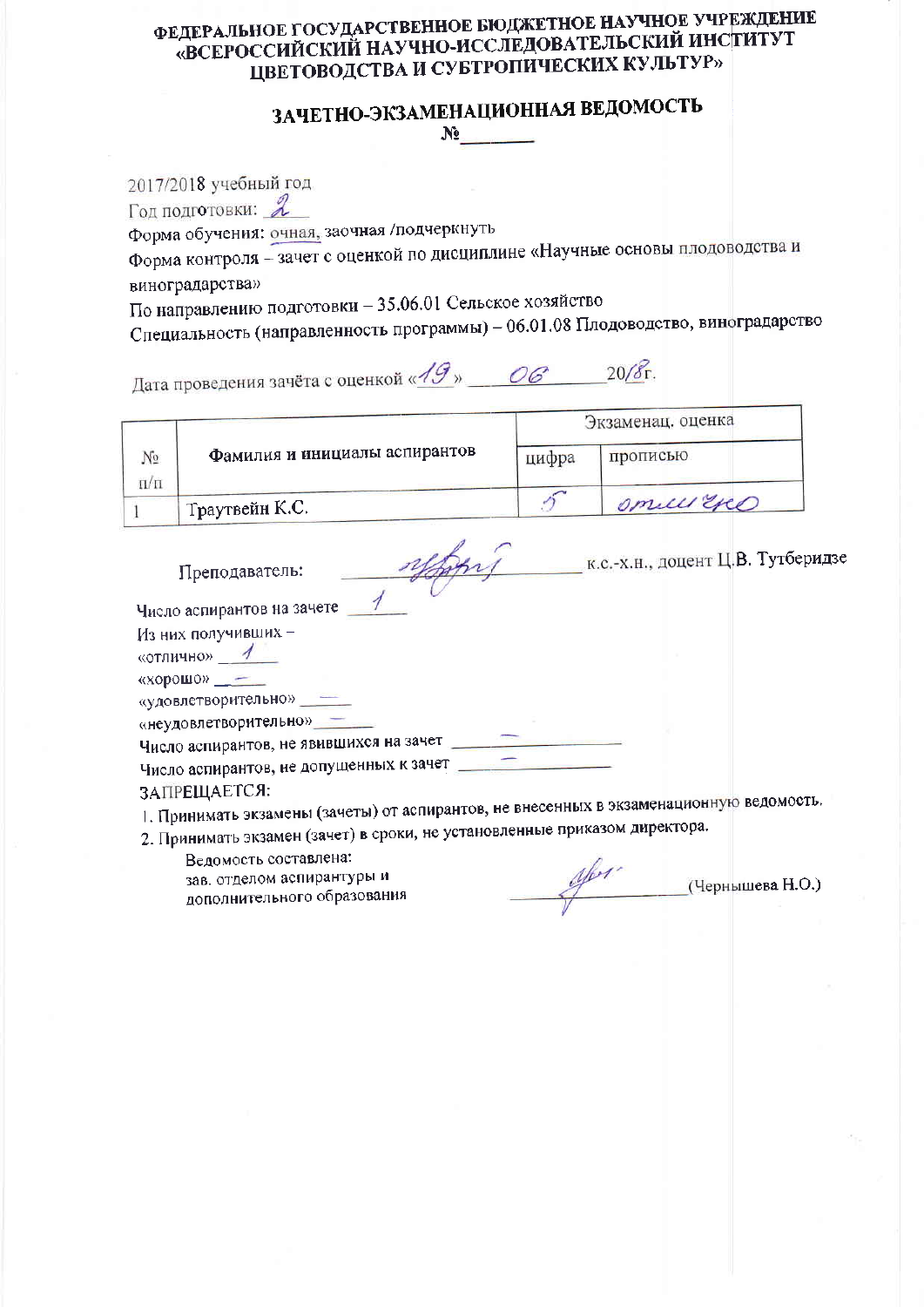# ЗАЧЕТНО-ЭКЗАМЕНАЦИОННАЯ ВЕДОМОСТЬ  $N<sub>2</sub>$

2017/2018 учебный год Год подготовки: 2 Форма обучения: очная, заочная /подчеркнуть Форма контроля - зачет с оценкой по дисциплине «Научные основы плодоводства и виноградарства» По направлению подготовки - 35.06.01 Сельское хозяйство

Специальность (направленность программы) - 06.01.08 Плодоводство, виноградарство

Дата проведения зачёта с оценкой «АЭ» \_\_ ОС \_\_ 20/8г.

|                 |                               | Экзаменац. оценка |            |  |
|-----------------|-------------------------------|-------------------|------------|--|
| Nο<br>$\Pi/\Pi$ | Фамилия и инициалы аспирантов | цифра             | прописью   |  |
|                 | Граутвейн К.С.                |                   | omelli Exe |  |

| Преподаватель:                          | к.с.-х.н., доцент Ц.В. Тутберидзе |  |
|-----------------------------------------|-----------------------------------|--|
| Число аспирантов на зачете              |                                   |  |
| Из них получивших -<br>«отлично»        |                                   |  |
| «хорошо» -                              |                                   |  |
| «удовлетворительно»                     |                                   |  |
| «неудовлетворительно»                   |                                   |  |
| Число аспирантов, не явившихся на зачет |                                   |  |
| Число аспирантов, не допущенных к зачет |                                   |  |
| ЗАПРЕЩАЕТСЯ:                            |                                   |  |

1. Принимать экзамены (зачеты) от аспирантов, не внесенных в экзаменационную ведомость.

2. Принимать экзамен (зачет) в сроки, не установленные приказом директора.

Ведомость составлена:

зав, отделом аспирантуры и дополнительного образования

 $\mathcal{U}_{\text{per}}$  (Чернышева Н.О.)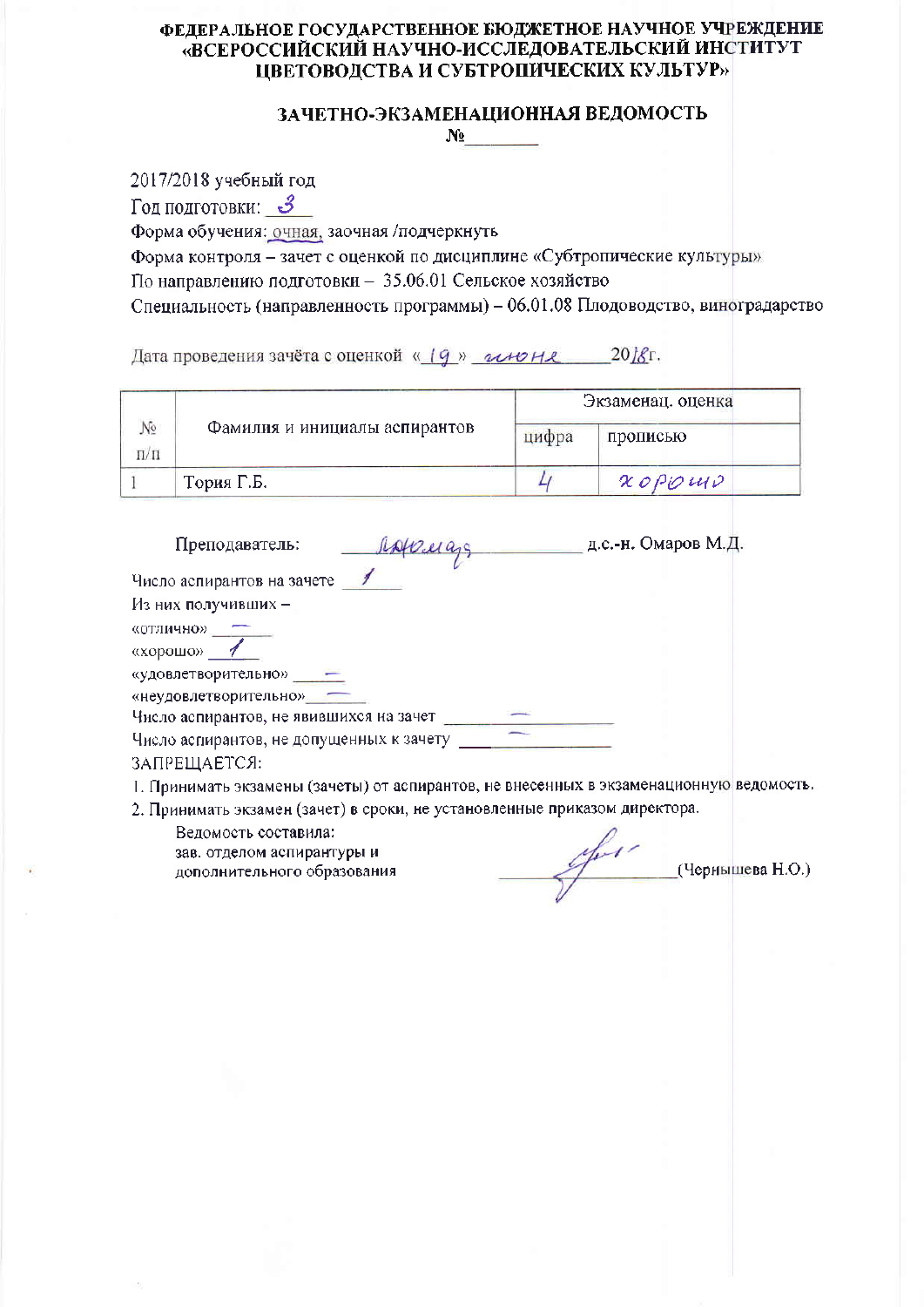#### ЗАЧЕТНО-ЭКЗАМЕНАЦИОННАЯ ВЕДОМОСТЬ  $N_2$  and  $N_3$

2017/2018 учебный год

Год подготовки: З

Форма обучения: очная, заочная /подчеркнуть

Форма контроля - зачет с оценкой по дисциплине «Субтропические культуры» По направлению подготовки - 35.06.01 Сельское хозяйство

Специальность (направленность программы) - 06.01.08 Плодоводство, виноградарство

Дата проведения зачёта с оценкой « (9 » иноне 2018г.

|           |                               | Экзаменац. оценка |           |  |  |
|-----------|-------------------------------|-------------------|-----------|--|--|
| No<br>п/п | Фамилия и инициалы аспирантов | цифра             | прописью  |  |  |
|           | Тория Г.Б.                    |                   | $x$ oppus |  |  |

| Преподаватель:                                    | д.с.-н. Омаров М.Д. |
|---------------------------------------------------|---------------------|
| Число аспирантов на зачете<br>Из них получивших - |                     |
| «отлично»                                         |                     |
| «хорошо»                                          |                     |
| «удовлетворительно»                               |                     |
| «неудовлетворительно»                             |                     |
| Число аспирантов, не явившихся на зачет           |                     |
| Число аспирантов, не допущенных к зачету          |                     |

ЗАПРЕЩАЕТСЯ:

1. Принимать экзамены (зачеты) от аспирантов, не внесенных в экзаменационную ведомость.

2. Принимать экзамен (зачет) в сроки, не установленные приказом директора.

Ведомость составила: зав. отделом аспирантуры и дополнительного образования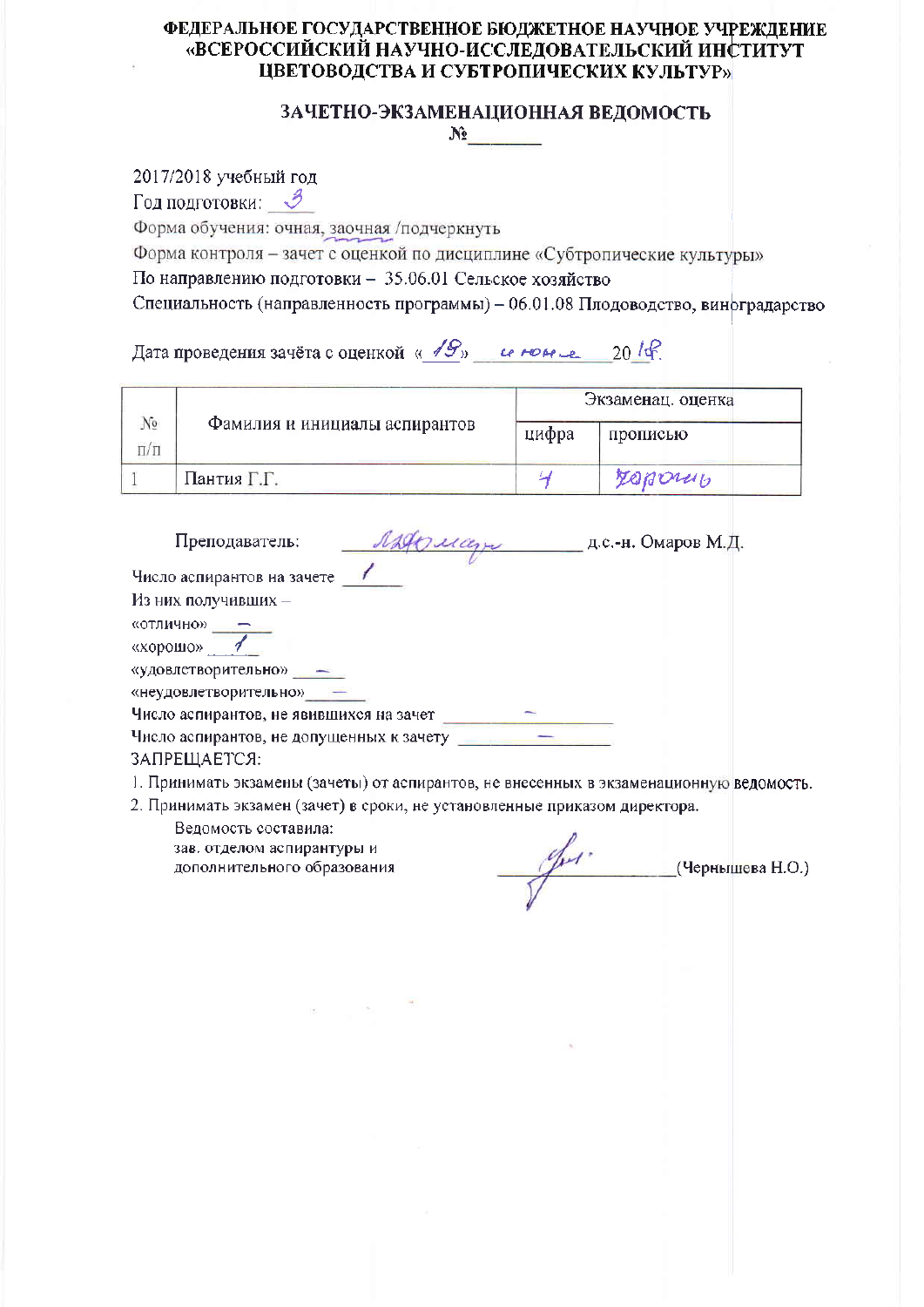#### ЗАЧЕТНО-ЭКЗАМЕНАЦИОННАЯ ВЕДОМОСТЬ  $N_2$  and  $N_3$

2017/2018 учебный год

Год подготовки: В

Форма обучения: очная, заочная /подчеркнуть

Форма контроля - зачет с оценкой по дисциплине «Субтропические культуры» По направлению подготовки - 35.06.01 Сельское хозяйство

Специальность (направленность программы) - 06.01.08 Плодоводство, виноградарство

Дата проведения зачёта с оценкой « 19» и номеле 2014.

|                       |                               | Экзаменац. оценка |          |
|-----------------------|-------------------------------|-------------------|----------|
| N <sup>o</sup><br>п/п | Фамилия и инициалы аспирантов | цифра             | прописью |
|                       | Пантия Г.Г.                   |                   | repony   |

| Преподаватель:                           | Mary | д.с.-н. Омаров М.Д. |
|------------------------------------------|------|---------------------|
| Число аспирантов на зачете               |      |                     |
| Из них получивших -                      |      |                     |
| «отлично» -                              |      |                     |
| «хорошо»                                 |      |                     |
| «удовлетворительно»                      |      |                     |
| «неудовлетворительно»                    |      |                     |
| Число аспирантов, не явившихся на зачет  |      |                     |
| Число аспирантов, не допущенных к зачету |      |                     |
| ЗАПРЕШАЕТСЯ:                             |      |                     |

1. Принимать экзамены (зачеты) от аспирантов, не внесенных в экзаменационную ведомость.

2. Принимать экзамен (зачет) в сроки, не установленные приказом директора.

(Чернышева Н.О.)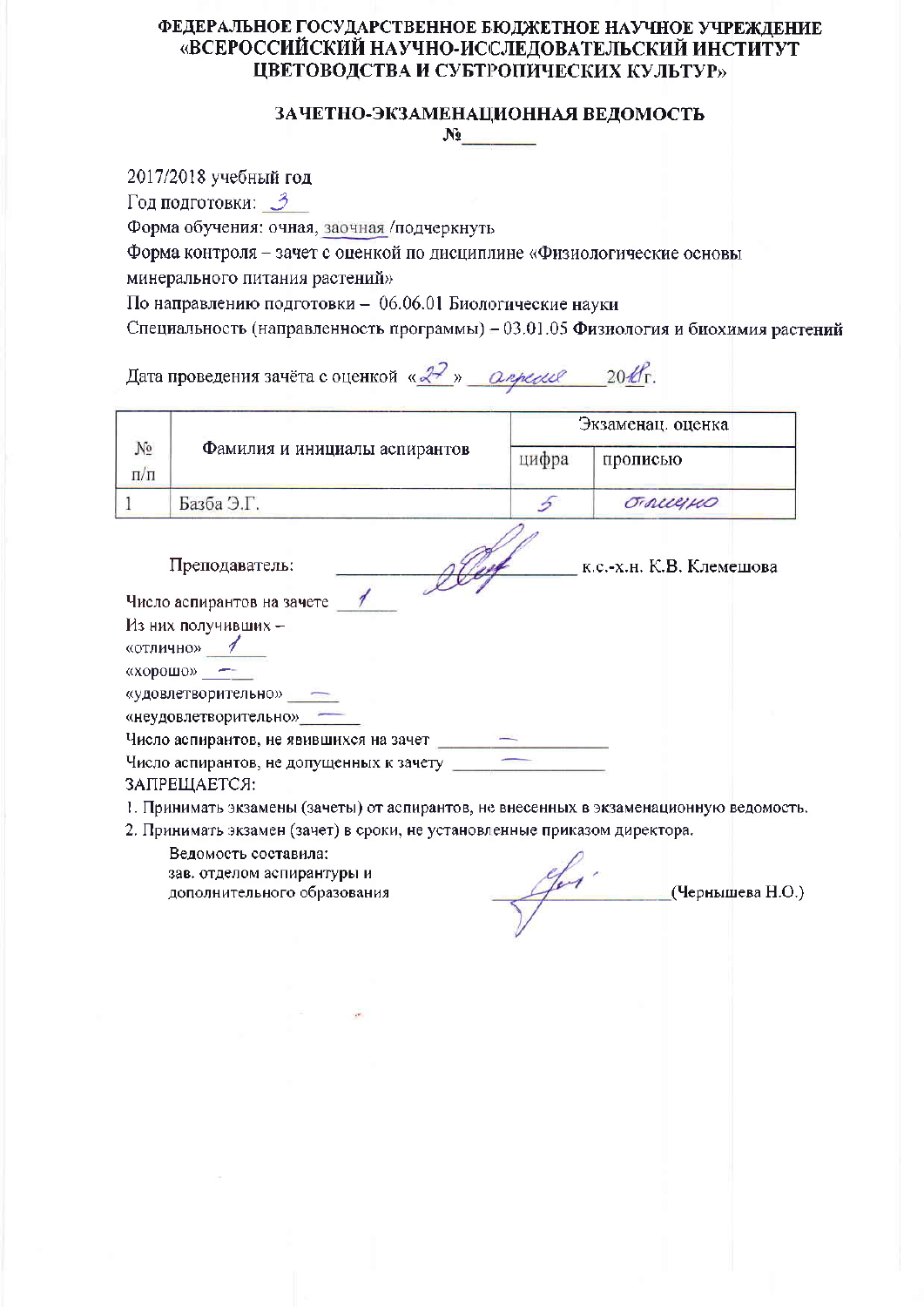## ЗАЧЕТНО-ЭКЗАМЕНАЦИОННАЯ ВЕДОМОСТЬ  $N_2$

2017/2018 учебный год Год подготовки: 3 Форма обучения: очная, заочная /подчеркнуть Форма контроля - зачет с оценкой по дисциплине «Физиологические основы минерального питания растений» По направлению подготовки - 06.06.01 Биологические науки Специальность (направленность программы) - 03.01.05 Физиология и биохимия растений Дата проведения зачёта с оценкой «2?» *Определ 2016*г. Экзаменац. оценка  $N_2$ Фамилия и инициалы аспирантов цифра прописью  $\Pi/\Pi$  $\mathbf{1}$ Базба Э.Г. 5 OTALLEINO к.с.-х.н. К.В. Клемешова Преподаватель: Число аспирантов на зачете 1 Из них получивших -«отлично» 1 «хорошо» — «удовлетворительно» -«неудовлетворительно» -Число аспирантов, не явившихся на зачет ЗАПРЕШАЕТСЯ: 1. Принимать экзамены (зачеты) от аспирантов, не внесенных в экзаменационную ведомость. 2. Принимать экзамен (зачет) в сроки, не установленные приказом директора. Ведомость составила: зав. отделом аспирантуры и

дополнительного образования

efer.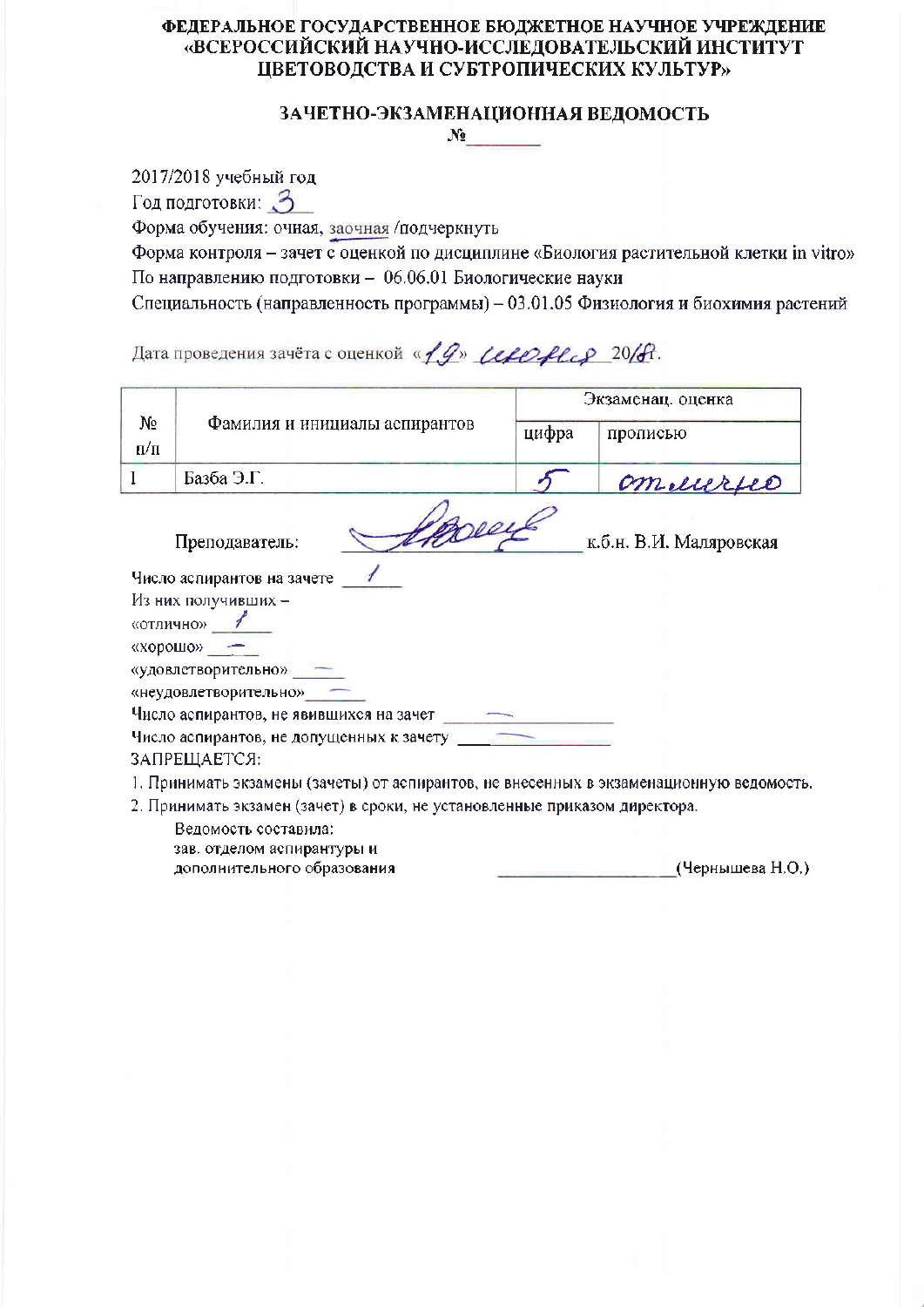# ЗАЧЕТНО-ЭКЗАМЕНАЦИОННАЯ ВЕДОМОСТЬ

 $N_2$  and  $N_3$ 

2017/2018 учебный год

Год подготовки: 3

Форма обучения: очная, заочная /подчеркнуть

Форма контроля - зачет с оценкой по дисциплине «Биология растительной клетки in vitro» По направлению подготовки - 06.06.01 Биологические науки

Специальность (направленность программы) - 03.01.05 Физиология и биохимия растений

Дата проведения зачёта с оценкой « 19» (серонее 20/А.

|           | Экзаменац. оценка                                                                       |       |                         |
|-----------|-----------------------------------------------------------------------------------------|-------|-------------------------|
| $N_2$     | Фамилия и инициалы аспирантов                                                           | цифра | прописью                |
| $\Pi/\Pi$ |                                                                                         |       |                         |
| 1         | Базба Э.Г.                                                                              |       | ommeurse                |
|           | peer<br>Преподаватель:                                                                  |       | к.б.н. В.И. Маляровская |
|           | Число аспирантов на зачете                                                              |       |                         |
|           | Из них получивших -                                                                     |       |                         |
|           | «отлично» 1                                                                             |       |                         |
|           | «хорошо»                                                                                |       |                         |
|           | «удовлетворительно» -                                                                   |       |                         |
|           | «неудовлетворительно» -                                                                 |       |                         |
|           | Число аспирантов, не явившихся на зачет                                                 |       |                         |
|           | Число аспирантов, не допущенных к зачету                                                |       |                         |
|           | ЗАПРЕЩАЕТСЯ:                                                                            |       |                         |
|           | 1. Принимать экзамены (зачеты) от аспирантов, не внесенных в экзаменационную ведомость. |       |                         |
|           | 2. Принимать экзамен (зачет) в сроки, не установленные приказом директора.              |       |                         |
|           | Ведомость составила:                                                                    |       |                         |
|           | зав. отделом аспирантуры и                                                              |       |                         |

дополнительного образования